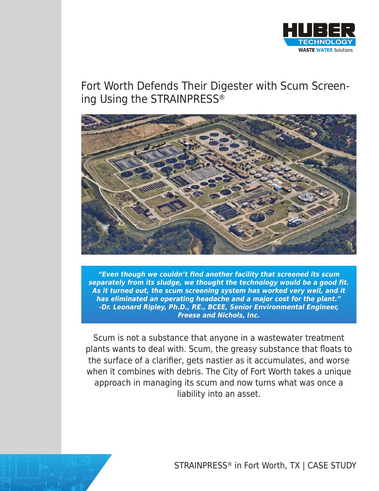

# Fort Worth Defends Their Digester with Scum Screening Using the STRAINPRESS®



**"Even though we couldn't find another facility that screened its scum separately from its sludge, we thought the technology would be a good fit. As it turned out, the scum screening system has worked very well, and it has eliminated an operating headache and a major cost for the plant." -Dr. Leonard Ripley, Ph.D., P.E., BCEE, Senior Environmental Engineer, Freese and Nichols, Inc.**

Scum is not a substance that anyone in a wastewater treatment plants wants to deal with. Scum, the greasy substance that floats to the surface of a clarifier, gets nastier as it accumulates, and worse when it combines with debris. The City of Fort Worth takes a unique approach in managing its scum and now turns what was once a liability into an asset.

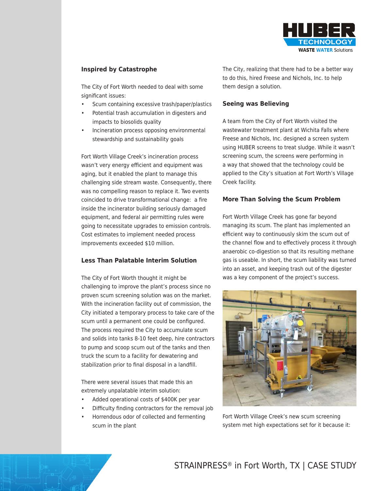

## **Inspired by Catastrophe**

The City of Fort Worth needed to deal with some significant issues:

- Scum containing excessive trash/paper/plastics
- Potential trash accumulation in digesters and impacts to biosolids quality
- Incineration process opposing environmental stewardship and sustainability goals

Fort Worth Village Creek's incineration process wasn't very energy efficient and equipment was aging, but it enabled the plant to manage this challenging side stream waste. Consequently, there was no compelling reason to replace it. Two events coincided to drive transformational change: a fire inside the incinerator building seriously damaged equipment, and federal air permitting rules were going to necessitate upgrades to emission controls. Cost estimates to implement needed process improvements exceeded \$10 million.

#### **Less Than Palatable Interim Solution**

The City of Fort Worth thought it might be challenging to improve the plant's process since no proven scum screening solution was on the market. With the incineration facility out of commission, the City initiated a temporary process to take care of the scum until a permanent one could be configured. The process required the City to accumulate scum and solids into tanks 8-10 feet deep, hire contractors to pump and scoop scum out of the tanks and then truck the scum to a facility for dewatering and stabilization prior to final disposal in a landfill.

There were several issues that made this an extremely unpalatable interim solution:

- Added operational costs of \$400K per year
- Difficulty finding contractors for the removal job
- Horrendous odor of collected and fermenting scum in the plant

The City, realizing that there had to be a better way to do this, hired Freese and Nichols, Inc. to help them design a solution.

#### **Seeing was Believing**

A team from the City of Fort Worth visited the wastewater treatment plant at Wichita Falls where Freese and Nichols, Inc. designed a screen system using HUBER screens to treat sludge. While it wasn't screening scum, the screens were performing in a way that showed that the technology could be applied to the City's situation at Fort Worth's Village Creek facility.

#### **More Than Solving the Scum Problem**

Fort Worth Village Creek has gone far beyond managing its scum. The plant has implemented an efficient way to continuously skim the scum out of the channel flow and to effectively process it through anaerobic co-digestion so that its resulting methane gas is useable. In short, the scum liability was turned into an asset, and keeping trash out of the digester was a key component of the project's success.



Fort Worth Village Creek's new scum screening system met high expectations set for it because it: